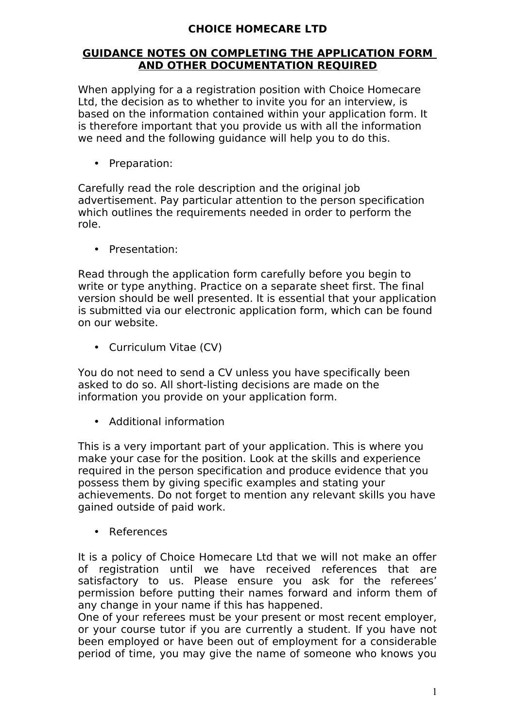## **CHOICE HOMECARE LTD**

## **GUIDANCE NOTES ON COMPLETING THE APPLICATION FORM AND OTHER DOCUMENTATION REQUIRED**

When applying for a a registration position with Choice Homecare Ltd, the decision as to whether to invite you for an interview, is based on the information contained within your application form. It is therefore important that you provide us with all the information we need and the following guidance will help you to do this.

• Preparation:

Carefully read the role description and the original job advertisement. Pay particular attention to the person specification which outlines the requirements needed in order to perform the role.

• Presentation:

Read through the application form carefully before you begin to write or type anything. Practice on a separate sheet first. The final version should be well presented. It is essential that your application is submitted via our electronic application form, which can be found on our website.

• Curriculum Vitae (CV)

You do not need to send a CV unless you have specifically been asked to do so. All short-listing decisions are made on the information you provide on your application form.

• Additional information

This is a very important part of your application. This is where you make your case for the position. Look at the skills and experience required in the person specification and produce evidence that you possess them by giving specific examples and stating your achievements. Do not forget to mention any relevant skills you have gained outside of paid work.

• References

It is a policy of Choice Homecare Ltd that we will not make an offer of registration until we have received references that are satisfactory to us. Please ensure you ask for the referees' permission before putting their names forward and inform them of any change in your name if this has happened.

One of your referees must be your present or most recent employer, or your course tutor if you are currently a student. If you have not been employed or have been out of employment for a considerable period of time, you may give the name of someone who knows you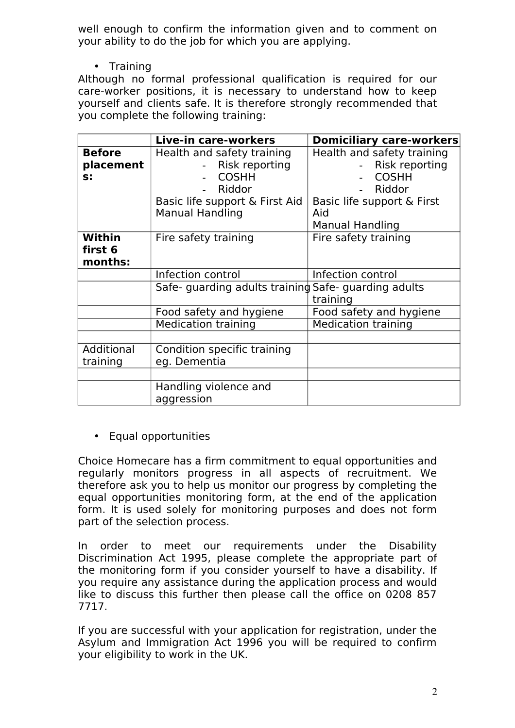well enough to confirm the information given and to comment on your ability to do the job for which you are applying.

• Training

Although no formal professional qualification is required for our care-worker positions, it is necessary to understand how to keep yourself and clients safe. It is therefore strongly recommended that you complete the following training:

|               | <b>Live-in care-workers</b>                          | <b>Domiciliary care-workers</b> |
|---------------|------------------------------------------------------|---------------------------------|
| <b>Before</b> | Health and safety training                           | Health and safety training      |
| placement     | - Risk reporting                                     | Risk reporting                  |
| $S$ :         | <b>COSHH</b>                                         | <b>COSHH</b>                    |
|               | Riddor                                               | Riddor                          |
|               | Basic life support & First Aid                       | Basic life support & First      |
|               | <b>Manual Handling</b>                               | Aid                             |
|               |                                                      | <b>Manual Handling</b>          |
| <b>Within</b> | Fire safety training                                 | Fire safety training            |
| first 6       |                                                      |                                 |
| months:       |                                                      |                                 |
|               | Infection control                                    | Infection control               |
|               | Safe- quarding adults training Safe- guarding adults |                                 |
|               |                                                      | training                        |
|               | Food safety and hygiene                              | Food safety and hygiene         |
|               | <b>Medication training</b>                           | <b>Medication training</b>      |
|               |                                                      |                                 |
| Additional    | Condition specific training                          |                                 |
| training      | eg. Dementia                                         |                                 |
|               |                                                      |                                 |
|               | Handling violence and<br>aggression                  |                                 |

• Equal opportunities

Choice Homecare has a firm commitment to equal opportunities and regularly monitors progress in all aspects of recruitment. We therefore ask you to help us monitor our progress by completing the equal opportunities monitoring form, at the end of the application form. It is used solely for monitoring purposes and does not form part of the selection process.

In order to meet our requirements under the Disability Discrimination Act 1995, please complete the appropriate part of the monitoring form if you consider yourself to have a disability. If you require any assistance during the application process and would like to discuss this further then please call the office on 0208 857 7717.

If you are successful with your application for registration, under the Asylum and Immigration Act 1996 you will be required to confirm your eligibility to work in the UK.